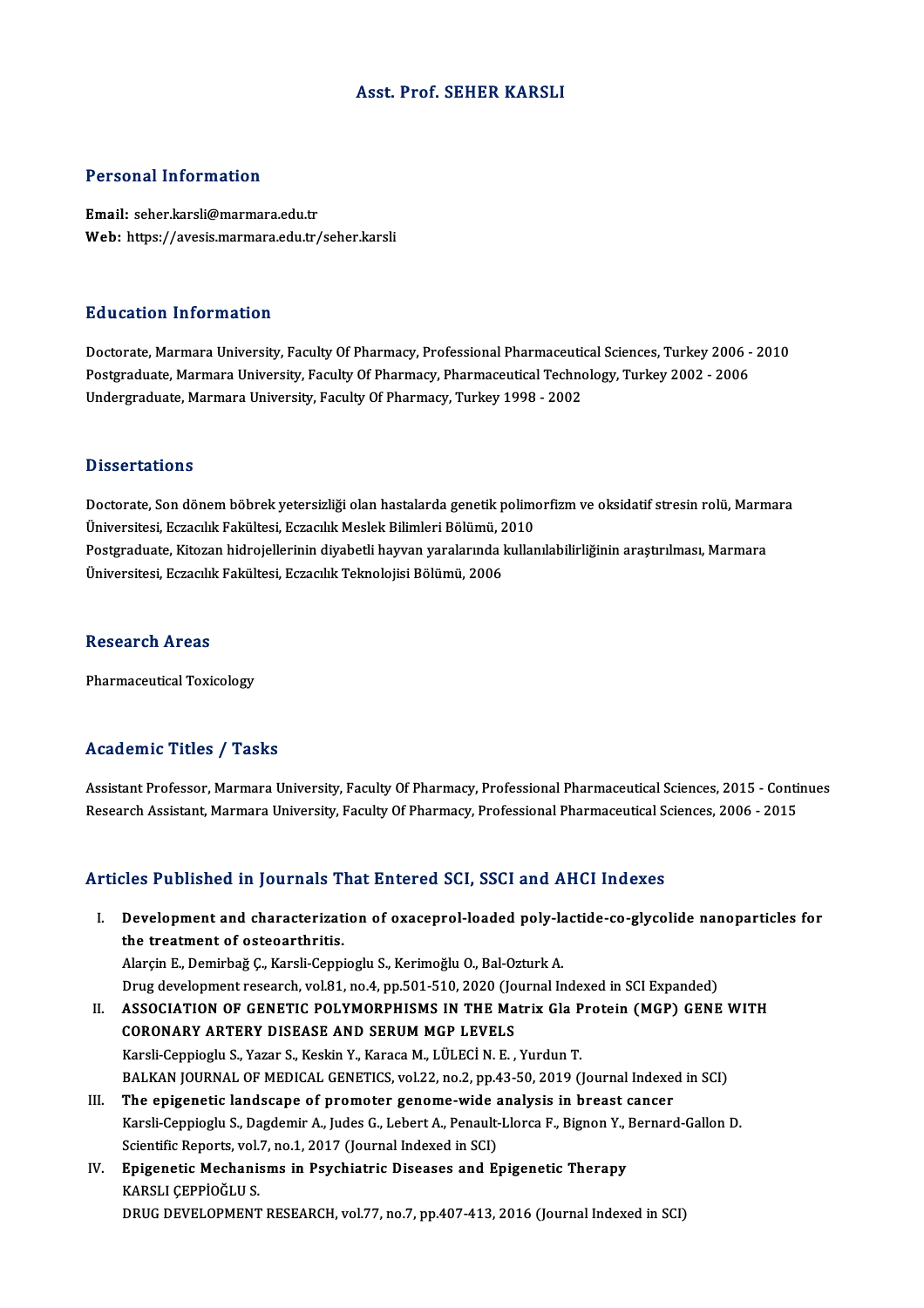## Asst. Prof. SEHER KARSLI

## Personal Information

Email: seher.karsli@marmara.edu.tr Web: https://avesis.marmara.edu.tr/seher.karsli

## Education Information

Education Information<br>Doctorate, Marmara University, Faculty Of Pharmacy, Professional Pharmaceutical Sciences, Turkey 2006 - 2010<br>Postsraduate Marmara University, Faculty Of Pharmacy, Pharmaceutical Technology, Turkey 200 Puncation Timot Inderon<br>Doctorate, Marmara University, Faculty Of Pharmacy, Professional Pharmaceutical Sciences, Turkey 2006 -<br>Postgraduate, Marmara University, Faculty Of Pharmacy, Pharmaceutical Technology, Turkey 2002 Postgraduate, Marmara University, Faculty Of Pharmacy, Pharmaceutical Technology, Turkey 2002 - 2006<br>Undergraduate, Marmara University, Faculty Of Pharmacy, Turkey 1998 - 2002

### **Dissertations**

Dissertations<br>Doctorate, Son dönem böbrek yetersizliği olan hastalarda genetik polimorfizm ve oksidatif stresin rolü, Marmara<br>Ühiversitesi, Estasılık Feltiltesi, Estasılık Meslek Bilimleri Bölümü, 2010 D'isser tarrems<br>Doctorate, Son dönem böbrek yetersizliği olan hastalarda genetik polim<br>Üniversitesi, Eczacılık Fakültesi, Eczacılık Meslek Bilimleri Bölümü, 2010<br>Postanaduata, Kitaren bidroiallerinin divebetli bayyan yaral Doctorate, Son dönem böbrek yetersizliği olan hastalarda genetik polimorfizm ve oksidatif stresin rolü, Marm<br>Üniversitesi, Eczacılık Fakültesi, Eczacılık Meslek Bilimleri Bölümü, 2010<br>Postgraduate, Kitozan hidrojellerinin Üniversitesi, Eczacılık Fakültesi, Eczacılık Meslek Bilimleri Bölümü, 2<br>Postgraduate, Kitozan hidrojellerinin diyabetli hayvan yaralarında l<br>Üniversitesi, Eczacılık Fakültesi, Eczacılık Teknolojisi Bölümü, 2006 Üniversitesi, Eczacılık Fakültesi, Eczacılık Teknolojisi Bölümü, 2006<br>Research Areas

Pharmaceutical Toxicology

## Academic Titles / Tasks

Academic Titles / Tasks<br>Assistant Professor, Marmara University, Faculty Of Pharmacy, Professional Pharmaceutical Sciences, 2015 - Continues<br>Research Assistant Marmara University, Faculty Of Pharmacy, Professional Pharmace recutrente Treres 7 Tasks<br>Assistant Professor, Marmara University, Faculty Of Pharmacy, Professional Pharmaceutical Sciences, 2015 - Conti<br>Research Assistant, Marmara University, Faculty Of Pharmacy, Professional Pharmaceu Research Assistant, Marmara University, Faculty Of Pharmacy, Professional Pharmaceutical Sciences, 2006 - 2015<br>Articles Published in Journals That Entered SCI, SSCI and AHCI Indexes

rticles Published in Journals That Entered SCI, SSCI and AHCI Indexes<br>I. Development and characterization of oxaceprol-loaded poly-lactide-co-glycolide nanoparticles for<br>the treatment of estecarthritic the treatment and characterizat<br>the treatment of osteoarthritis.<br>Alarcin E. Domirhağ C. Kareli Conni Development and characterization of oxaceprol-loaded poly-la<br>the treatment of osteoarthritis.<br>Alarçin E., Demirbağ Ç., Karsli-Ceppioglu S., Kerimoğlu O., Bal-Ozturk A.<br>Drug development research vol 81 no 4 np 501 510 2020

the treatment of osteoarthritis.<br>Alarçin E., Demirbağ Ç., Karsli-Ceppioglu S., Kerimoğlu O., Bal-Ozturk A.<br>Drug development research, vol.81, no.4, pp.501-510, 2020 (Journal Indexed in SCI Expanded) Alarçin E., Demirbağ Ç., Karsli-Ceppioglu S., Kerimoğlu O., Bal-Ozturk A.<br>Drug development research, vol.81, no.4, pp.501-510, 2020 (Journal Indexed in SCI Expanded)<br>II. ASSOCIATION OF GENETIC POLYMORPHISMS IN THE Matrix G

- Drug development research, vol.81, no.4, pp.501-510, 2020 (Jo<br>ASSOCIATION OF GENETIC POLYMORPHISMS IN THE Ma<br>CORONARY ARTERY DISEASE AND SERUM MGP LEVELS<br>Karoli Conniagly S. Vagar S. Kaskin V. Karoga M. Lüt Eçi N. E ASSOCIATION OF GENETIC POLYMORPHISMS IN THE Matrix Gla P<br>CORONARY ARTERY DISEASE AND SERUM MGP LEVELS<br>Karsli-Ceppioglu S., Yazar S., Keskin Y., Karaca M., LÜLECİN. E. , Yurdun T.<br>BALKAN JOURNAL OF MEDICAL GENETICS .val 32. CORONARY ARTERY DISEASE AND SERUM MGP LEVELS<br>Karsli-Ceppioglu S., Yazar S., Keskin Y., Karaca M., LÜLECİ N. E. , Yurdun T.<br>BALKAN JOURNAL OF MEDICAL GENETICS, vol.22, no.2, pp.43-50, 2019 (Journal Indexed in SCI)<br>The enige Karsli-Ceppioglu S., Yazar S., Keskin Y., Karaca M., LÜLECİ N. E. , Yurdun T.<br>BALKAN JOURNAL OF MEDICAL GENETICS, vol.22, no.2, pp.43-50, 2019 (Journal Indexed<br>III. The epigenetic landscape of promoter genome-wide analysis
- BALKAN JOURNAL OF MEDICAL GENETICS, vol.22, no.2, pp.43-50, 2019 (Journal Indexed in SCI)<br>The epigenetic landscape of promoter genome-wide analysis in breast cancer<br>Karsli-Ceppioglu S., Dagdemir A., Judes G., Lebert A., Pe The epigenetic landscape of promoter genome-wide analysis in breast cancer<br>Karsli-Ceppioglu S., Dagdemir A., Judes G., Lebert A., Penault-Llorca F., Bignon Y., Bernard-Gallon D. Scientific Reports, vol.7, no.1, 2017 (Journal Indexed in SCI)
- IV. Epigenetic Mechanisms in Psychiatric Diseases and Epigenetic Therapy<br>KARSLI CEPPIOĞLU S. DRUG DEVELOPMENT RESEARCH, vol.77, no.7, pp.407-413, 2016 (Journal Indexed in SCI)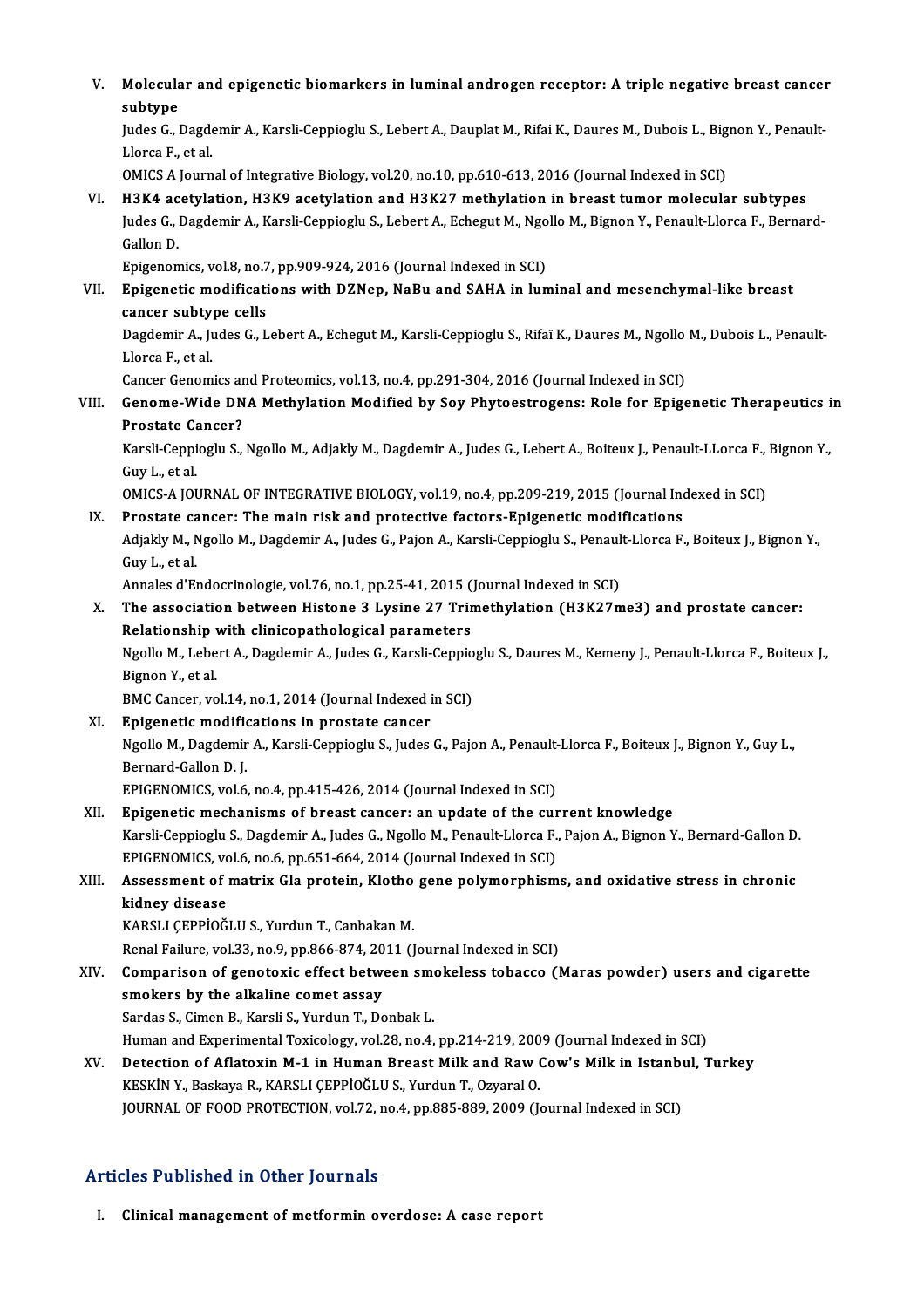V. Molecular and epigenetic biomarkers in luminal androgen receptor: A triple negative breast cancer Molecula<br>subtype<br>Indee Col Molecular and epigenetic biomarkers in luminal androgen receptor: A triple negative breast cance:<br>subtype<br>Judes G., Dagdemir A., Karsli-Ceppioglu S., Lebert A., Dauplat M., Rifai K., Daures M., Dubois L., Bignon Y., Penaul subtype<br>Judes G., Dagdemir A., Karsli-Ceppioglu S., Lebert A., Dauplat M., Rifai K., Daures M., Dubois L., Bignon Y., Penault-<br>Llorca F.. et al. OMICS A Journal of Integrative Biology, vol.20, no.10, pp.610-613, 2016 (Journal Indexed in SCI) VI. H3K4 acetylation, H3K9 acetylation and H3K27methylation in breast tumor molecular subtypes OMICS A Journal of Integrative Biology, vol.20, no.10, pp.610-613, 2016 (Journal Indexed in SCI)<br>H3K4 acetylation, H3K9 acetylation and H3K27 methylation in breast tumor molecular subtypes<br>Judes G., Dagdemir A., Karsli-Cep H3K4 ac<br>Judes G., l<br>Gallon D.<br>Enisceon Judes G., Dagdemir A., Karsli-Ceppioglu S., Lebert A., Echegut M., Ngo<br>Gallon D.<br>Epigenomics, vol.8, no.7, pp.909-924, 2016 (Journal Indexed in SCI)<br>Epigenotic modifications with DZNep, NeBu and SAHA in lun Gallon D.<br>Epigenomics, vol.8, no.7, pp.909-924, 2016 (Journal Indexed in SCI)<br>VII. Epigenetic modifications with DZNep, NaBu and SAHA in luminal and mesenchymal-like breast<br>cansor subtune sells Epigenomics, vol.8, no.7<br>Epigenetic modificati<br>cancer subtype cells<br>Dagdamir A, Judee C, J Epigenetic modifications with DZNep, NaBu and SAHA in luminal and mesenchymal-like breast<br>cancer subtype cells<br>Dagdemir A., Judes G., Lebert A., Echegut M., Karsli-Ceppioglu S., Rifaï K., Daures M., Ngollo M., Dubois L., P cancer subtype cells<br>Dagdemir A., Judes G., Lebert A., Echegut M., Karsli-Ceppioglu S., Rifaï K., Daures M., Ngollo M., Dubois L., Penault-<br>Llorca F., et al. Dagdemir A., Judes G., Lebert A., Echegut M., Karsli-Ceppioglu S., Rifaï K., Daures M., Ngollo<br>Llorca F., et al.<br>Cancer Genomics and Proteomics, vol.13, no.4, pp.291-304, 2016 (Journal Indexed in SCI)<br>Cancer Wide DNA Methy VIII. Genome-Wide DNA Methylation Modified by Soy Phytoestrogens: Role for Epigenetic Therapeutics in<br>Prostate Cancer? Cancer Genomics an<br>Genome-Wide DN<br>Prostate Cancer?<br>Karali Canniaghu S Genome-Wide DNA Methylation Modified by Soy Phytoestrogens: Role for Epigenetic Therapeutics i<br>Prostate Cancer?<br>Karsli-Ceppioglu S., Ngollo M., Adjakly M., Dagdemir A., Judes G., Lebert A., Boiteux J., Penault-LLorca F., B Prostate Ca<br>Karsli-Ceppi<br>Guy L., et al.<br>OMICS A IOI Karsli-Ceppioglu S., Ngollo M., Adjakly M., Dagdemir A., Judes G., Lebert A., Boiteux J., Penault-LLorca F.,<br>Guy L., et al.<br>OMICS-A JOURNAL OF INTEGRATIVE BIOLOGY, vol.19, no.4, pp.209-219, 2015 (Journal Indexed in SCI)<br>Pr Guy L., et al.<br>OMICS-A JOURNAL OF INTEGRATIVE BIOLOGY, vol.19, no.4, pp.209-219, 2015 (Journal Indexed in SCI) Adjakly M., Ngollo M., Dagdemir A., Judes G., Pajon A., Karsli-Ceppioglu S., Penault-Llorca F., Boiteux J., Bignon Y.,<br>Guy L., et al. IX. Prostate cancer: The main risk and protective factors-Epigenetic modifications Adjakly M., Ngollo M., Dagdemir A., Judes G., Pajon A., Karsli-Ceppioglu S., Penaul<br>Guy L., et al.<br>Annales d'Endocrinologie, vol.76, no.1, pp.25-41, 2015 (Journal Indexed in SCI)<br>The association between Histone 3. Lysine 3 Guy L., et al.<br>Annales d'Endocrinologie, vol.76, no.1, pp.25-41, 2015 (Journal Indexed in SCI)<br>X. The association between Histone 3 Lysine 27 Trimethylation (H3K27me3) and prostate cancer:<br>Pelationship with cliniconatholog Annales d'Endocrinologie, vol.76, no.1, pp.25-41, 2015 (<br>The association between Histone 3 Lysine 27 Trir<br>Relationship with clinicopathological parameters<br>Ngello M. Lobert A. Degdemir A. Judes G. Kareli Cannie The association between Histone 3 Lysine 27 Trimethylation (H3K27me3) and prostate cancer:<br>Relationship with clinicopathological parameters<br>Ngollo M., Lebert A., Dagdemir A., Judes G., Karsli-Ceppioglu S., Daures M., Kemen Relationship with clinicopathological parameters<br>Ngollo M., Lebert A., Dagdemir A., Judes G., Karsli-Ceppio<br>Bignon Y., et al.<br>BMC Cancer, vol.14, no.1, 2014 (Journal Indexed in SCI) Ngollo M., Lebert A., Dagdemir A., Judes G., Karsli-Ceppioglu S., Daures M., Kemeny J., Penault-Llorca F., Boiteux J., Bignon Y., et al.<br>BMC Cancer, vol.14, no.1, 2014 (Journal Indexed in prostate cancer<br>XI. Epigenetic modifications in prostate cancer Ngollo M., Dagdemir A., Karsli-Ceppioglu S., Judes G., Pajon A., Penault-Llorca F., Boiteux J., Bignon Y., Guy L.,<br>Bernard-Gallon D. J. Epigenetic modifie<br>Ngollo M., Dagdemir<br>Bernard-Gallon D. J.<br>EPICENOMICS .vol.6 EPIGENOMICS, vol.6, no.4, pp.415-426, 2014 (Journal Indexed in SCI) XII. Epigenetic mechanisms of breast cancer: an update of the current knowledge EPIGENOMICS, vol.6, no.4, pp.415-426, 2014 (Journal Indexed in SCI)<br>Epigenetic mechanisms of breast cancer: an update of the current knowledge<br>Karsli-Ceppioglu S., Dagdemir A., Judes G., Ngollo M., Penault-Llorca F., Pajon Epigenetic mechanisms of breast cancer: an update of the curvars<br>liferal Karsli-Ceppioglu S., Dagdemir A., Judes G., Ngollo M., Penault-Llorca F.,<br>EPIGENOMICS, vol.6, no.6, pp.651-664, 2014 (Journal Indexed in SCI) Karsli-Ceppioglu S., Dagdemir A., Judes G., Ngollo M., Penault-Llorca F., Pajon A., Bignon Y., Bernard-Gallon D<br>EPIGENOMICS, vol.6, no.6, pp.651-664, 2014 (Journal Indexed in SCI)<br>XIII. Assessment of matrix Gla protein, Kl EPIGENOMICS, vol.6, no.6, pp.651-664, 2014 (Journal Indexed in SCI)<br>Assessment of matrix Gla protein, Klotho gene polymorphisms, and oxidative stress in chronic<br>kidney disease KARSLI ÇEPPİOĞLU S., Yurdun T., Canbakan M. kidney disease<br>KARSLI ÇEPPİOĞLU S., Yurdun T., Canbakan M.<br>Renal Failure, vol.33, no.9, pp.866-874, 2011 (Journal Indexed in SCI)<br>Comparison of geneteris effect between smakeless tabasse (J KARSLI ÇEPPİOĞLU S., Yurdun T., Canbakan M.<br>Renal Failure, vol.33, no.9, pp.866-874, 2011 (Journal Indexed in SCI)<br>XIV. Comparison of genotoxic effect between smokeless tobacco (Maras powder) users and cigarette<br>smoker Renal Failure, vol.33, no.9, pp.866-874, 20<br>Comparison of genotoxic effect between<br>smokers by the alkaline comet assay<br>Sardas S. Cimon B. Kareli S. Vurdun T. Do Comparison of genotoxic effect between sm<br>smokers by the alkaline comet assay<br>Sardas S., Cimen B., Karsli S., Yurdun T., Donbak L.<br>Human and Evnerimental Teviselegy, yol 28, no 4. smokers by the alkaline comet assay<br>Sardas S., Cimen B., Karsli S., Yurdun T., Donbak L.<br>Human and Experimental Toxicology, vol.28, no.4, pp.214-219, 2009 (Journal Indexed in SCI)<br>Detection of Aflatovin M.1 in Human Breast Sardas S., Cimen B., Karsli S., Yurdun T., Donbak L.<br>Human and Experimental Toxicology, vol.28, no.4, pp.214-219, 2009 (Journal Indexed in SCI)<br>XV. Detection of Aflatoxin M-1 in Human Breast Milk and Raw Cow's Milk in Ista Human and Experimental Toxicology, vol.28, no.4, pp.214-219, 200<br>Detection of Aflatoxin M-1 in Human Breast Milk and Raw (<br>KESKİN Y., Baskaya R., KARSLI ÇEPPİOĞLU S., Yurdun T., Ozyaral O.<br>JOUPMAL OE EOOD PROTECTION vol.72 Detection of Aflatoxin M-1 in Human Breast Milk and Raw Cow's Milk in Istanbı<br>KESKİN Y., Baskaya R., KARSLI ÇEPPİOĞLU S., Yurdun T., Ozyaral O.<br>JOURNAL OF FOOD PROTECTION, vol.72, no.4, pp.885-889, 2009 (Journal Indexed in JOURNAL OF FOOD PROTECTION, vol.72, no.4, pp.885-889, 2009 (Journal Indexed in SCI)<br>Articles Published in Other Journals

I. Clinical management of metformin overdose: A case report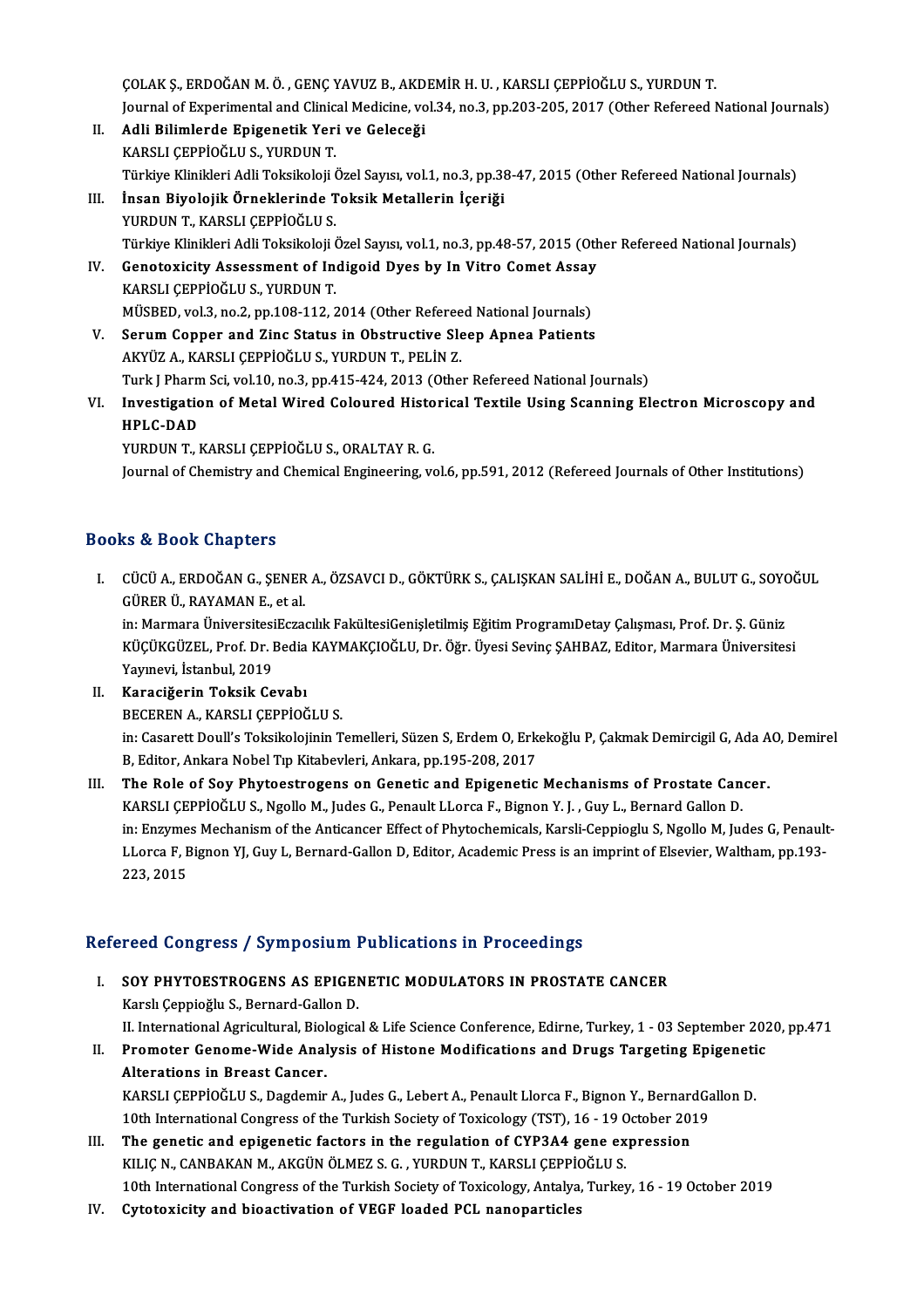ÇOLAKŞ.,ERDOĞANM.Ö. ,GENÇYAVUZB.,AKDEMİRH.U. ,KARSLIÇEPPİOĞLUS.,YURDUNT. ÇOLAK Ş., ERDOĞAN M. Ö. , GENÇ YAVUZ B., AKDEMİR H. U. , KARSLI ÇEPPİOĞLU S., YURDUN T.<br>Journal of Experimental and Clinical Medicine, vol.34, no.3, pp.203-205, 2017 (Other Refereed National Journals)<br>Adli Bilimlande Enige

- II. Adli Bilimlerde Epigenetik Yeri ve Geleceği<br>KARSLI ÇEPPİOĞLU S., YURDUN T. Journal of Experimental and Clinic<br><mark>Adli Bilimlerde Epigenetik Yer</mark><br>KARSLI ÇEPPİOĞLU S., YURDUN T.<br>Türkiye Klinikleri Adli Teksikeleji ( Adli Bilimlerde Epigenetik Yeri ve Geleceği<br>KARSLI ÇEPPİOĞLU S., YURDUN T.<br>Türkiye Klinikleri Adli Toksikoloji Özel Sayısı, vol.1, no.3, pp.38-47, 2015 (Other Refereed National Journals)<br>İnsan Biyolojik Örneklerinde Teksik
- III. İnsan Biyolojik Örneklerinde Toksik Metallerin İçeriği<br>YURDUN T., KARSLI ÇEPPİOĞLU S. Türkiye Klinikleri Adli Toksikoloji (<br>İnsan Biyolojik Örneklerinde T<br>YURDUN T., KARSLI ÇEPPİOĞLU S.<br>Türkiye Klinikleri Adli Teksikoloji ( Türkiye Klinikleri Adli Toksikoloji Özel Sayısı, vol.1, no.3, pp.48-57, 2015 (Other Refereed National Journals) YURDUN T., KARSLI ÇEPPİOĞLU S.<br>Türkiye Klinikleri Adli Toksikoloji Özel Sayısı, vol.1, no.3, pp.48-57, 2015 (Oth<br>IV. Genotoxicity Assessment of Indigoid Dyes by In Vitro Comet Assay<br>KARSLI CERRIOĞLU S. VURDUN T.
- Türkiye Klinikleri Adli Toksikoloji (<br>Genotoxicity Assessment of In<br>KARSLI ÇEPPİOĞLU S., YURDUN T.<br>MÜSPED. vol 3. no. 3. nn 108.112.2 Genotoxicity Assessment of Indigoid Dyes by In Vitro Comet Assay<br>KARSLI ÇEPPİOĞLU S., YURDUN T.<br>MÜSBED, vol.3, no.2, pp.108-112, 2014 (Other Refereed National Journals)<br>Serum Conner and Zing Status in Obstructive Sleep Ann KARSLI ÇEPPİOĞLU S., YURDUN T.<br>MÜSBED, vol.3, no.2, pp.108-112, 2014 (Other Refereed National Journals)<br>V. Serum Copper and Zinc Status in Obstructive Sleep Apnea Patients
- AKYÜZA.,KARSLIÇEPPİOĞLUS.,YURDUNT.,PELİNZ. Serum Copper and Zinc Status in Obstructive Sleep Apnea Patients<br>AKYÜZ A., KARSLI ÇEPPİOĞLU S., YURDUN T., PELİN Z.<br>Turk J Pharm Sci, vol.10, no.3, pp.415-424, 2013 (Other Refereed National Journals)<br>Investigation of Metal
- AKYÜZ A., KARSLI ÇEPPİOĞLU S., YURDUN T., PELİN Z.<br>Turk J Pharm Sci, vol.10, no.3, pp.415-424, 2013 (Other Refereed National Journals)<br>VI. Investigation of Metal Wired Coloured Historical Textile Using Scanning Electro Turk J Phar<mark>n</mark><br>I<mark>nvestigatic</mark><br>HPLC-DAD<br>YURDUN T Investigation of Metal Wired Coloured Histo<br>HPLC-DAD<br>YURDUN T., KARSLI ÇEPPİOĞLU S., ORALTAY R. G.<br>Journal of Chamistry and Chamisal Engineering, v. HPLC-DAD<br>YURDUN T., KARSLI ÇEPPİOĞLU S., ORALTAY R. G.<br>Journal of Chemistry and Chemical Engineering, vol.6, pp.591, 2012 (Refereed Journals of Other Institutions)

## Books&Book Chapters

ooks & Book Chapters<br>I. – CÜCÜ A., ERDOĞAN G., ŞENER A., ÖZSAVCI D., GÖKTÜRK S., ÇALIŞKAN SALİHİ E., DOĞAN A., BULUT G., SOYOĞUL<br>CÜPER Ü, RAYAMAN E. et al GÜRERÜ.,RAYAMANE.,etal. CÜCÜ A., ERDOĞAN G., ŞENER A., ÖZSAVCI D., GÖKTÜRK S., ÇALIŞKAN SALİHİ E., DOĞAN A., BULUT G., SOYO<br>GÜRER Ü., RAYAMAN E., et al.<br>in: Marmara ÜniversitesiEczacılık FakültesiGenişletilmiş Eğitim ProgramıDetay Çalışması, Prof GÜRER Ü., RAYAMAN E., et al.<br>in: Marmara ÜniversitesiEczacılık FakültesiGenişletilmiş Eğitim ProgramıDetay Çalışması, Prof. Dr. Ş. Güniz<br>KÜÇÜKGÜZEL, Prof. Dr. Bedia KAYMAKÇIOĞLU, Dr. Öğr. Üyesi Sevinç ŞAHBAZ, Editor, Marma

in: Marmara Üniversitesi<br>KÜÇÜKGÜZEL, Prof. Dr. I<br>Yayınevi, İstanbul, 2019<br>Karasiğerin Taksik Ce KÜÇÜKGÜZEL, Prof. Dr. Bedia<br>Yayınevi, İstanbul, 2019<br>II. Karaciğerin Toksik Cevabı<br>PECEREN A, KARSI LCEPRIQÖ

- Yayınevi, İstanbul, 2019<br>II. Karaciğerin Toksik Cevabı<br>BECEREN A., KARSLI ÇEPPİOĞLU S. Karaciğerin Toksik Cevabı<br>BECEREN A., KARSLI ÇEPPİOĞLU S.<br>in: Casarett Doull's Toksikolojinin Temelleri, Süzen S, Erdem O, Erkekoğlu P, Çakmak Demircigil G, Ada AO, Demirel<br>B. Editer, Ankara Nobel Tın Kitabeyleri, Ankara, BECEREN A., KARSLI ÇEPPİOĞLU S.<br>in: Casarett Doull's Toksikolojinin Temelleri, Süzen S, Erdem O, Erk<br>B, Editor, Ankara Nobel Tıp Kitabevleri, Ankara, pp.195-208, 2017<br>The Bole of Sou Phytoestrogens on Conetis and Enigensti
- in: Casarett Doull's Toksikolojinin Temelleri, Süzen S, Erdem O, Erkekoğlu P, Çakmak Demircigil G, Ada A<br>B, Editor, Ankara Nobel Tıp Kitabevleri, Ankara, pp.195-208, 2017<br>III. The Role of Soy Phytoestrogens on Genetic and B, Editor, Ankara Nobel Tıp Kitabevleri, Ankara, pp.195-208, 2017<br>The Role of Soy Phytoestrogens on Genetic and Epigenetic Mechanisms of Prostate Cancer.<br>KARSLI ÇEPPİOĞLU S., Ngollo M., Judes G., Penault LLorca F., Bignon The Role of Soy Phytoestrogens on Genetic and Epigenetic Mechanisms of Prostate Cancer.<br>KARSLI ÇEPPİOĞLU S., Ngollo M., Judes G., Penault LLorca F., Bignon Y. J. , Guy L., Bernard Gallon D.<br>in: Enzymes Mechanism of the Ant KARSLI ÇEPPİOĞLU S., Ngollo M., Judes G., Penault LLorca F., Bignon Y. J. , Guy L., Bernard Gallon D.<br>in: Enzymes Mechanism of the Anticancer Effect of Phytochemicals, Karsli-Ceppioglu S, Ngollo M, Judes G, Penault<br>LLorca LLorca F, Bignon YJ, Guy L, Bernard-Gallon D, Editor, Academic Press is an imprint of Elsevier, Waltham, pp.193-<br>223, 2015

## Refereed Congress / Symposium Publications in Proceedings

- I. SOY PHYTOESTROGENS AS EPIGENETIC MODULATORS IN PROSTATE CANCER Karslı Çeppioğlu S., Bernard-Gallon D. SOY PHYTOESTROGENS AS EPIGENETIC MODULATORS IN PROSTATE CANCER<br>Karslı Çeppioğlu S., Bernard-Gallon D.<br>II. International Agricultural, Biological & Life Science Conference, Edirne, Turkey, 1 - 03 September 2020,pp.471<br>Promo Karslı Çeppioğlu S., Bernard-Gallon D.<br>II. International Agricultural, Biological & Life Science Conference, Edirne, Turkey, 1 - 03 September 202<br>II. Promoter Genome-Wide Analysis of Histone Modifications and Drugs Targeti
- II. International Agricultural, Biol<br>Promoter Genome-Wide Anal<br>Alterations in Breast Cancer.<br>KARSLI CEPPIOČLUS, Dogdomir Promoter Genome-Wide Analysis of Histone Modifications and Drugs Targeting Epigeneti<br>Alterations in Breast Cancer.<br>KARSLI ÇEPPİOĞLU S., Dagdemir A., Judes G., Lebert A., Penault Llorca F., Bignon Y., BernardGallon D.<br>10th Alterations in Breast Cancer.<br>KARSLI ÇEPPİOĞLU S., Dagdemir A., Judes G., Lebert A., Penault Llorca F., Bignon Y., BernardGa<br>10th International Congress of the Turkish Society of Toxicology (TST), 16 - 19 October 2019<br>The KARSLI ÇEPPİOĞLU S., Dagdemir A., Judes G., Lebert A., Penault Llorca F., Bignon Y., Bernard<br>10th International Congress of the Turkish Society of Toxicology (TST), 16 - 19 October 2011<br>III. The genetic and epigenetic fact
- 10th International Congress of the Turkish Society of Toxicology (TST), 16 19 October 2019<br>The genetic and epigenetic factors in the regulation of CYP3A4 gene expression<br>KILIÇ N., CANBAKAN M., AKGÜN ÖLMEZ S. G. , YURDUN 10th InternationalCongress of theTurkish Society ofToxicology,Antalya,Turkey,16 -19October 2019
- IV. Cytotoxicity and bioactivation of VEGF loaded PCL nanoparticles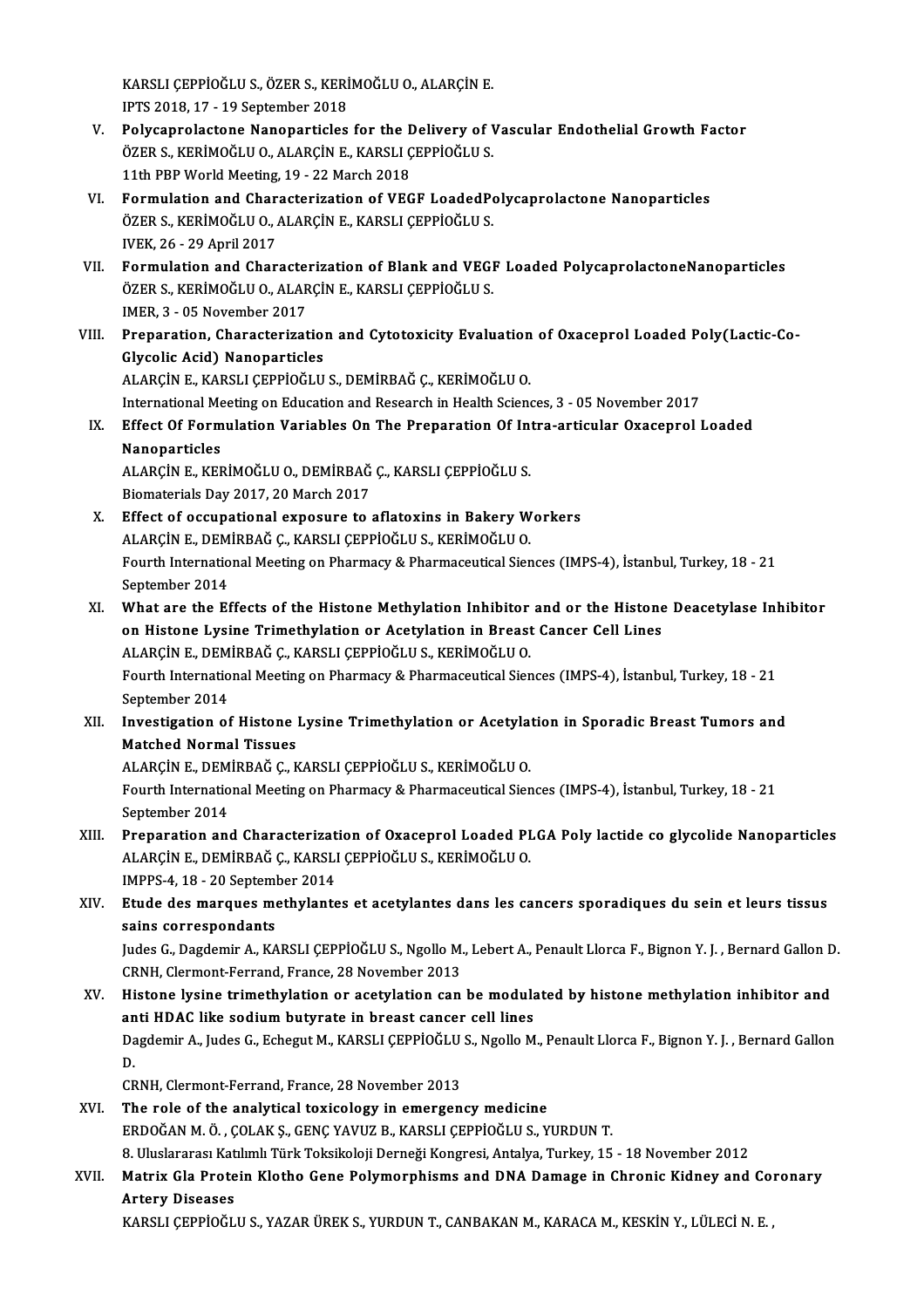KARSLI ÇEPPİOĞLU S., ÖZER S., KERİMOĞLU O., ALARÇİN E.<br>IPTS 2018-17 - 19 Santambar 2018 KARSLI ÇEPPİOĞLU S., ÖZER S., KERİ<br>IPTS 2018, 17 - 19 September 2018<br>Polygannalastana Nananartisləs

- KARSLI ÇEPPİOĞLU S., ÖZER S., KERİMOĞLU O., ALARÇİN E.<br>IPTS 2018, 17 19 September 2018<br>V. Polycaprolactone Nanoparticles for the Delivery of Vascular Endothelial Growth Factor<br>ÖZER S. KERİMOĞLU O. ALARÇİN E. KARSLI CERRİ IPTS 2018, 17 - 19 September 2018<br>Polycaprolactone Nanoparticles for the Delivery of V<br>ÖZER S., KERİMOĞLU O., ALARÇİN E., KARSLI ÇEPPİOĞLU S.<br>11th PPP World Meeting 19 - 22 Mereb 2019 Polycaprolactone Nanoparticles for the L<br>ÖZER S., KERİMOĞLU O., ALARÇİN E., KARSLI Ç<br>11th PBP World Meeting, 19 - 22 March 2018<br>Formulation and Characterization of VEC ÖZER S., KERİMOĞLU O., ALARÇİN E., KARSLI ÇEPPİOĞLU S.<br>11th PBP World Meeting, 19 - 22 March 2018<br>VI. Formulation and Characterization of VEGF LoadedPolycaprolactone Nanoparticles
- 11th PBP World Meeting, 19 22 March 2018<br>Formulation and Characterization of VEGF LoadedPo<br>ÖZER S., KERİMOĞLU O., ALARÇİN E., KARSLI ÇEPPİOĞLU S.<br>WEK 26 29 April 2017 Formulation and Char<br>ÖZER S., KERİMOĞLU O., *I*<br>IVEK, 26 - 29 April 2017<br>Formulation and Char ÖZER S., KERİMOĞLU O., ALARÇİN E., KARSLI ÇEPPİOĞLU S.<br>IVEK, 26 - 29 April 2017<br>VII. Formulation and Characterization of Blank and VEGF Loaded PolycaprolactoneNanoparticles<br>ÖZER S. KERİMOĞLU O. ALARÇİN E. KARSLI CERRIQ
- IVEK, 26 29 April 2017<br>Formulation and Characterization of Blank and VEGI<br>ÖZER S., KERİMOĞLU O., ALARÇİN E., KARSLI ÇEPPİOĞLU S.<br>IMER 2., QE November 2017 Formulation and Characte<br>ÖZER S., KERİMOĞLU O., ALAR<br>IMER, 3 - 05 November 2017<br>Preperation, Characterizat ÖZER S., KERİMOĞLU O., ALARÇİN E., KARSLI ÇEPPİOĞLU S.<br>1998: IMER, 3 - 05 November 2017<br>VIII. Preparation, Characterization and Cytotoxicity Evaluation of Oxaceprol Loaded Poly(Lactic-Co-<br>Chreelis Asid) Napoportisles
- IMER, 3 05 November 2017<br>Preparation, Characterization<br>Glycolic Acid) Nanoparticles<br>ALAPCIN E KAPSLI CEPPIOČLIJ Glycolic Acid) Nanoparticles<br>ALARÇİN E., KARSLI ÇEPPİOĞLU S., DEMİRBAĞ Ç., KERİMOĞLU O. Glycolic Acid) Nanoparticles<br>ALARÇİN E., KARSLI ÇEPPİOĞLU S., DEMİRBAĞ Ç., KERİMOĞLU O.<br>International Meeting on Education and Research in Health Sciences, 3 - 05 November 2017<br>Effect Of Eormulation Variables On The Prepar

## IX. Effect Of Formulation Variables On The Preparation Of Intra-articular Oxaceprol Loaded International Me<br>Effect Of Form<br>Nanoparticles<br>ALARC<sup>iN E</sup> VEL Effect Of Formulation Variables On The Preparation Of Int<br>Nanoparticles<br>ALARÇİN E., KERİMOĞLU O., DEMİRBAĞ Ç., KARSLI ÇEPPİOĞLU S.<br>Piamatariala Dav 2017, 20 Marab 2017

Nanoparticles<br>ALARÇİN E., KERİMOĞLU O., DEMİRBAĞ<br>Biomaterials Day 2017, 20 March 2017<br>Effect of oceunational exposure to t ALARÇİN E., KERİMOĞLU O., DEMİRBAĞ Ç., KARSLI ÇEPPİOĞLU S.<br>Biomaterials Day 2017, 20 March 2017<br>X. Effect of occupational exposure to aflatoxins in Bakery Workers<br>ALARÇİN E. DEMİRBAĞ C. KARSLI CERRIQĞLU S. KERİMOĞLU O.

- Biomaterials Day 2017, 20 March 2017<br>Effect of occupational exposure to aflatoxins in Bakery W<br>ALARÇİN E., DEMİRBAĞ Ç., KARSLI ÇEPPİOĞLU S., KERİMOĞLU O.<br>Fourth International Meeting on Bharmagy & Bharmagquigel Sien Fourth International Meeting on Pharmacy & Pharmaceutical Siences (IMPS-4), İstanbul, Turkey, 18 - 21<br>September 2014 ALARÇİN E., DEMİRBAĞ Ç., KARSLI ÇEPPİOĞLU S., KERİMOĞLU O. Fourth International Meeting on Pharmacy & Pharmaceutical Siences (IMPS-4), İstanbul, Turkey, 18 - 21<br>September 2014<br>XI. What are the Effects of the Histone Methylation Inhibitor and or the Histone Deacetylase Inhibitor<br>on
- September 2014<br>What are the Effects of the Histone Methylation Inhibitor and or the Histone<br>On Histone Lysine Trimethylation or Acetylation in Breast Cancer Cell Lines<br>ALARCINE, DEMIRRAČ G. KARSLI CERRIQČLUS, KERIMOČLUO What are the Effects of the Histone Methylation Inhibitor<br>on Histone Lysine Trimethylation or Acetylation in Breast<br>ALARÇİN E., DEMİRBAĞ Ç., KARSLI ÇEPPİOĞLU S., KERİMOĞLU O.<br>Fourth International Meeting on Pharmagy & Phar on Histone Lysine Trimethylation or Acetylation in Breast Cancer Cell Lines<br>ALARÇİN E., DEMİRBAĞ Ç., KARSLI ÇEPPİOĞLU S., KERİMOĞLU O.<br>Fourth International Meeting on Pharmacy & Pharmaceutical Siences (IMPS-4), İstanbul, T ALARÇÎN E., DEMÎRBAĞ Ç., KARSLI ÇEPPİOĞLU S., KERÎMOĞLU O. Fourth International Meeting on Pharmacy & Pharmaceutical Siences (IMPS-4), İstanbul, Turkey, 18 - 21<br>September 2014<br>XII. Investigation of Histone Lysine Trimethylation or Acetylation in Sporadic Breast Tumors and<br>Matebod
- September 2014<br>Investigation of Histone<br>Matched Normal Tissues<br>ALAPCINE DEMIPPAČC K Investigation of Histone Lysine Trimethylation or Acetyla<sup>.</sup><br>Matched Normal Tissues<br>ALARÇİN E., DEMİRBAĞ Ç., KARSLI ÇEPPİOĞLU S., KERİMOĞLU O.<br>Fourth International Meeting on Pharmagy & Pharmagquirel Sion

Matched Normal Tissues<br>ALARÇİN E., DEMİRBAĞ Ç., KARSLI ÇEPPİOĞLU S., KERİMOĞLU O.<br>Fourth International Meeting on Pharmacy & Pharmaceutical Siences (IMPS-4), İstanbul, Turkey, 18 - 21<br>Sentember 2014 ALARÇIN E., DEM<br>Fourth Internatio<br>September 2014<br>Proponation one

- XI I. Preparation and Characterization of Oxaceprol Loaded PLGA Poly lactide co glycolide Nanoparticles September 2014<br>Preparation and Characterization of Oxaceprol Loaded PI<br>ALARÇİN E., DEMİRBAĞ Ç., KARSLI ÇEPPİOĞLU S., KERİMOĞLU O.<br>IMPRS 4.18., 20 September 2014 Preparation and Characterizat<br>ALARÇİN E., DEMİRBAĞ Ç., KARSLI<br>IMPPS-4, 18 - 20 September 2014<br>Etude des manques mathulants
- IMPPS-4, 18 20 September 2014<br>XIV. Etude des marques methylantes et acetylantes dans les cancers sporadiques du sein et leurs tissus sains correspondants Etude des marques methylantes et acetylantes dans les cancers sporadiques du sein et leurs tissus<br>sains correspondants<br>Judes G., Dagdemir A., KARSLI ÇEPPİOĞLU S., Ngollo M., Lebert A., Penault Llorca F., Bignon Y. J. , Ber

sains correspondants<br>Judes G., Dagdemir A., KARSLI ÇEPPİOĞLU S., Ngollo M.<br>CRNH, Clermont-Ferrand, France, 28 November 2013<br>Histone lygine trimethylation en acetylation san Judes G., Dagdemir A., KARSLI ÇEPPİOĞLU S., Ngollo M., Lebert A., Penault Llorca F., Bignon Y. J. , Bernard Gallon D<br>CRNH, Clermont-Ferrand, France, 28 November 2013<br>XV. Histone lysine trimethylation or acetylation can be

CRNH, Clermont-Ferrand, France, 28 November 2013<br>Histone lysine trimethylation or acetylation can be modula<br>anti HDAC like sodium butyrate in breast cancer cell lines<br>Dagdamir A, Judes G, Esbagut M, KARSLI CEPPIOČLUS, Ngol Histone lysine trimethylation or acetylation can be modulated by histone methylation inhibitor and<br>anti HDAC like sodium butyrate in breast cancer cell lines<br>Dagdemir A., Judes G., Echegut M., KARSLI ÇEPPİOĞLU S., Ngollo M an<br>Da<br>C<sup>n</sup> Dagdemir A., Judes G., Echegut M., KARSLI ÇEPPİOĞLU<br>D.<br>CRNH, Clermont-Ferrand, France, 28 November 2013<br>The role of the anglytical toujeology in emergen D.<br>CRNH, Clermont-Ferrand, France, 28 November 2013<br>XVI. The role of the analytical toxicology in emergency medicine

ERDOĞANM.Ö. ,ÇOLAKŞ.,GENÇYAVUZB.,KARSLIÇEPPİOĞLUS.,YURDUNT. The role of the analytical toxicology in emergency medicine<br>ERDOĞAN M. Ö. , ÇOLAK Ş., GENÇ YAVUZ B., KARSLI ÇEPPİOĞLU S., YURDUN T.<br>8. Uluslararası Katılımlı Türk Toksikoloji Derneği Kongresi, Antalya, Turkey, 15 - 18 Nove

# XVII. Matrix Gla Protein Klotho Gene Polymorphisms and DNA Damage in Chronic Kidney and Coronary<br>Artery Diseases 8. Uluslararası Kat<br><mark>Matrix Gla Prote</mark><br>Artery Diseases<br>KARSLI CEPPIOČL

KARSLIÇEPPİOĞLUS.,YAZARÜREKS.,YURDUNT.,CANBAKANM.,KARACAM.,KESKİNY.,LÜLECİN.E. ,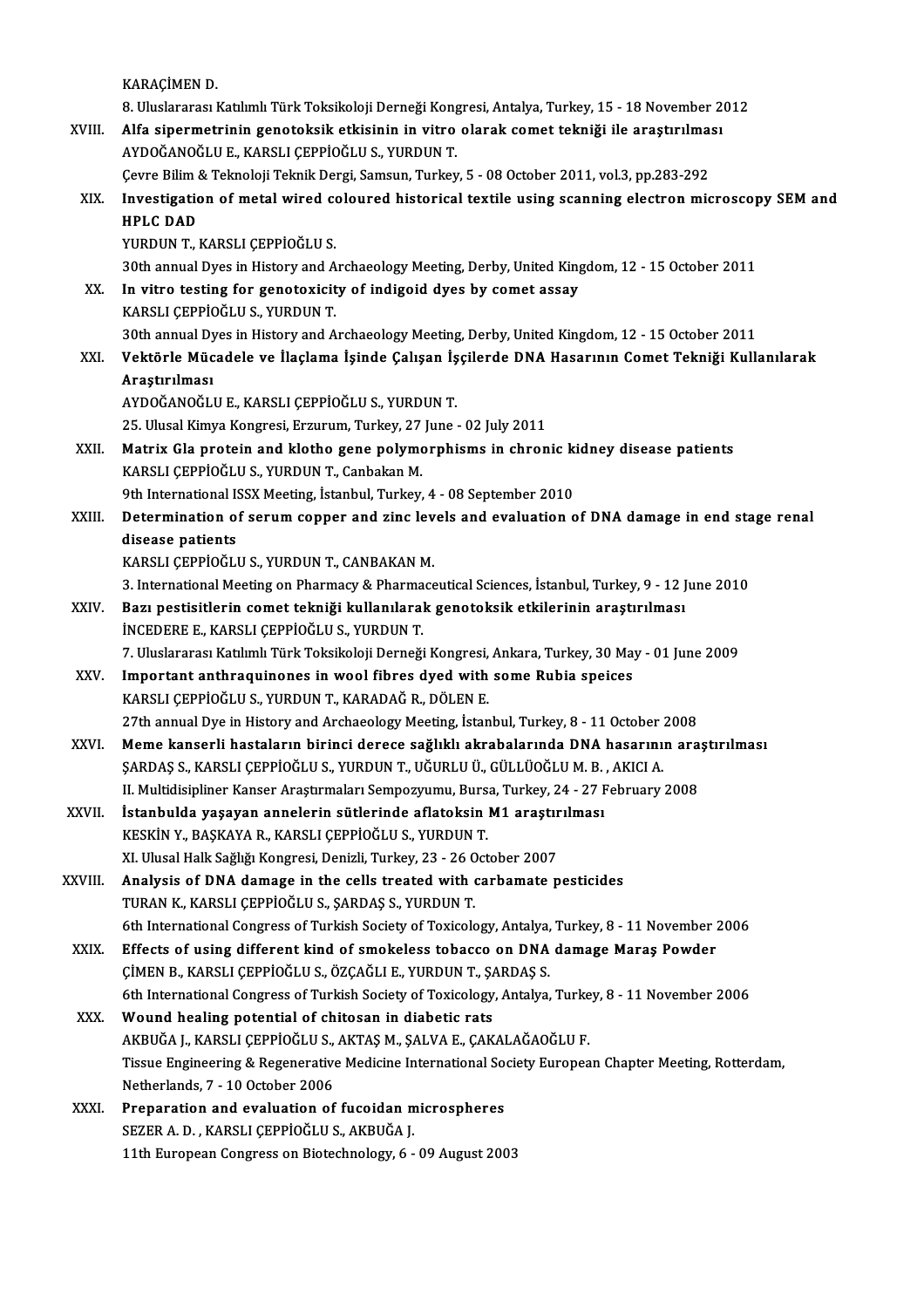KARAÇİMEN D.

KARAÇİMEN D.<br>8. Uluslararası Katılımlı Türk Toksikoloji Derneği Kongresi, Antalya, Turkey, 15 - 18 November 2012<br>Alfa sinermetrinin senetelesik etkisinin in vitre elerek semet tekniği ile enestinilmesi KARAÇİMEN D.<br>8. Uluslararası Katılımlı Türk Toksikoloji Derneği Kongresi, Antalya, Turkey, 15 - 18 November 2<br>XVIII. Alfa sipermetrinin genotoksik etkisinin in vitro olarak comet tekniği ile araştırılması<br>AVDOĞANOĞLU E. KA 8. Uluslararası Katılımlı Türk Toksikoloji Derneği Kong<br>Alfa sipermetrinin genotoksik etkisinin in vitro<br>AYDOĞANOĞLU E., KARSLI ÇEPPİOĞLU S., YURDUN T.<br>Ceure Bilim & Telmeleji Telmik Dergi, Semeun Turkey Alfa sipermetrinin genotoksik etkisinin in vitro olarak comet tekniği ile araştırılma:<br>AYDOĞANOĞLU E., KARSLI ÇEPPİOĞLU S., YURDUN T.<br>Çevre Bilim & Teknoloji Teknik Dergi, Samsun, Turkey, 5 - 08 October 2011, vol.3, pp.283 AYDOĞANOĞLU E., KARSLI ÇEPPİOĞLU S., YURDUN T.<br>Cevre Bilim & Teknoloji Teknik Dergi, Samsun, Turkey, 5 - 08 October 2011, vol.3, pp.283-292<br>XIX. Investigation of metal wired coloured historical textile using scanning e Çevre Bilim & Teknoloji Teknik Dergi, Samsun, Turkey, 5 - 08 October 2011, vol.3, pp.283-292 YURDUN T., KARSLI ÇEPPİOĞLU S. HPLC DAD<br>YURDUN T., KARSLI ÇEPPİOĞLU S.<br>30th annual Dyes in History and Archaeology Meeting, Derby, United Kingdom, 12 - 15 October 2011<br>In vitre testing for geneterisity of indigeid dyes by semet assay XX. In vitro testing for genotoxicity of indigoid dyes by comet assay<br>KARSLI CEPPIOGLU S., YURDUN T. 30th annual Dyes in History and A<br>In vitro testing for genotoxicit<br>KARSLI ÇEPPİOĞLU S., YURDUN T.<br>20th annual Dyes in History and A 30th annual Dyes in History and Archaeology Meeting, Derby, United Kingdom, 12 - 15 October 2011 KARSLI ÇEPPİOĞLU S., YURDUN T.<br>30th annual Dyes in History and Archaeology Meeting, Derby, United Kingdom, 12 - 15 October 2011<br>XXI. Vektörle Mücadele ve İlaçlama İşinde Çalışan İşçilerde DNA Hasarının Comet Tekniği Ku 30th annual Dy<br><mark>Vektörle Müc</mark><br>Araştırılması<br>AVDOČANOČU Vektörle Mücadele ve İlaçlama İşinde Çalışan İş<br>Araştırılması<br>AYDOĞANOĞLU E., KARSLI ÇEPPİOĞLU S., YURDUN T.<br>25 Ulucal Kimua Kongresi Ersurum Turkay 27 June Araştırılması<br>AYDOĞANOĞLU E., KARSLI ÇEPPİOĞLU S., YURDUN T.<br>25. Ulusal Kimya Kongresi, Erzurum, Turkey, 27 June - 02 July 2011<br>Metriy Cla protain and klatha sana polymorphisma in ahran AYDOĞANOĞLU E., KARSLI ÇEPPİOĞLU S., YURDUN T.<br>25. Ulusal Kimya Kongresi, Erzurum, Turkey, 27 June - 02 July 2011<br>XXII. Matrix Gla protein and klotho gene polymorphisms in chronic kidney disease patients<br>KARSLI CERRIQĞLU S 25. Ulusal Kimya Kongresi, Erzurum, Turkey, 27<br>Matrix Gla protein and klotho gene polymo<br>KARSLI ÇEPPİOĞLU S., YURDUN T., Canbakan M.<br>9th International ISSX Meeting, İstanbul Turkey. Matrix Gla protein and klotho gene polymorphisms in chronic k<br>KARSLI ÇEPPİOĞLU S., YURDUN T., Canbakan M.<br>9th International ISSX Meeting, İstanbul, Turkey, 4 - 08 September 2010<br>Determination of seguum senner and gine leve KARSLI ÇEPPİOĞLU S., YURDUN T., Canbakan M.<br>9th International ISSX Meeting, İstanbul, Turkey, 4 - 08 September 2010<br>XXIII. Determination of serum copper and zinc levels and evaluation of DNA damage in end stage renal<br>d 9th International I<mark>:</mark><br>Determination o<br>disease patients<br>KARSI I CEPPIOČI I Determination of serum copper and zinc lev<br>disease patients<br>KARSLI ÇEPPİOĞLU S., YURDUN T., CANBAKAN M.<br><sup>2</sup>. International Meeting on Pharmagy & Pharmage disease patients<br>KARSLI ÇEPPİOĞLU S., YURDUN T., CANBAKAN M.<br>3. International Meeting on Pharmacy & Pharmaceutical Sciences, İstanbul, Turkey, 9 - 12 June 2010<br>Paru postisitlerin somet tekniği kullanılarak sonoteksik etkil KARSLI ÇEPPİOĞLU S., YURDUN T., CANBAKAN M.<br>3. International Meeting on Pharmacy & Pharmaceutical Sciences, İstanbul, Turkey, 9 - 12 J<br>XXIV. Bazı pestisitlerin comet tekniği kullanılarak genotoksik etkilerinin araştırılmas 3. International Meeting on Pharmacy & Pharma<br>Bazı pestisitlerin comet tekniği kullanılaral<br>İNCEDERE E., KARSLI ÇEPPİOĞLU S., YURDUN T.<br>7. Uluslararası Katılımlı Türk Teksikoloji Derneği Bazı pestisitlerin comet tekniği kullanılarak genotoksik etkilerinin araştırılması<br>İNCEDERE E., KARSLI ÇEPPİOĞLU S., YURDUN T.<br>7. Uluslararası Katılımlı Türk Toksikoloji Derneği Kongresi, Ankara, Turkey, 30 May - 01 June 2 INCEDERE E., KARSLI ÇEPPİOĞLU S., YURDUN T.<br>7. Uluslararası Katılımlı Türk Toksikoloji Derneği Kongresi, Ankara, Turkey, 30 Ma<br>XXV. Important anthraquinones in wool fibres dyed with some Rubia speices<br>KARSLI CERRIQĞLU Important anthraquinones in wool fibres dyed with some Rubia speices KARSLI ÇEPPİOĞLU S., YURDUN T., KARADAĞ R., DÖLEN E. Important anthraquinones in wool fibres dyed with some Rubia speices<br>KARSLI ÇEPPİOĞLU S., YURDUN T., KARADAĞ R., DÖLEN E.<br>27th annual Dye in History and Archaeology Meeting, İstanbul, Turkey, 8 - 11 October 2008<br>Meme kansa XXVI. Meme kanserli hastaların birinci derece sağlıklı akrabalarında DNA hasarının araştırılması<br>SARDAS S., KARSLI CEPPİOĞLU S., YURDUN T., UĞURLU Ü., GÜLLÜOĞLU M. B. , AKICI A. 27th annual Dye in History and Archaeology Meeting, İstanbul, Turkey, 8 - 11 October ;<br>Meme kanserli hastaların birinci derece sağlıklı akrabalarında DNA hasarını;<br>ŞARDAŞ S., KARSLI ÇEPPİOĞLU S., YURDUN T., UĞURLU Ü., GÜLL Meme kanserli hastaların birinci derece sağlıklı akrabalarında DNA hasarının ara<br>ŞARDAŞ S., KARSLI ÇEPPİOĞLU S., YURDUN T., UĞURLU Ü., GÜLLÜOĞLU M. B. , AKICI A.<br>II. Multidisipliner Kanser Araştırmaları Sempozyumu, Bursa, SARDAŞ S., KARSLI ÇEPPİOĞLU S., YURDUN T., UĞURLU Ü., GÜLLÜOĞLU M. B.<br>II. Multidisipliner Kanser Araştırmaları Sempozyumu, Bursa, Turkey, 24 - 27 F<br>XXVII. İstanbulda yaşayan annelerin sütlerinde aflatoksin M1 araştırılması II. Multidisipliner Kanser Araştırmaları Sempozyumu, Burs<br>İstanbulda yaşayan annelerin sütlerinde aflatoksin<br>KESKİN Y., BAŞKAYA R., KARSLI ÇEPPİOĞLU S., YURDUN T.<br>YL Hlusal Hall: Səğliği Kongnasi Denizli Turkay 22, 26 Oct İstanbulda yaşayan annelerin sütlerinde aflatoksin M1 araştır<br>KESKİN Y., BAŞKAYA R., KARSLI ÇEPPİOĞLU S., YURDUN T.<br>XI. Ulusal Halk Sağlığı Kongresi, Denizli, Turkey, 23 - 26 October 2007<br>Analysia of DNA damaga in the sall KESKİN Y., BAŞKAYA R., KARSLI ÇEPPİOĞLU S., YURDUN T.<br>XI. Ulusal Halk Sağlığı Kongresi, Denizli, Turkey, 23 - 26 October 2007<br>XXVIII. Analysis of DNA damage in the cells treated with carbamate pesticides<br>TURAN K., KARS XI. Ulusal Halk Sağlığı Kongresi, Denizli, Turkey, 23 - 26 C<br>Analysis of DNA damage in the cells treated with (TURAN K., KARSLI ÇEPPİOĞLU S., ŞARDAŞ S., YURDUN T.<br>6th International Congress of Turkish Society of Texicole Analysis of DNA damage in the cells treated with carbamate pesticides<br>TURAN K., KARSLI ÇEPPİOĞLU S., ŞARDAŞ S., YURDUN T.<br>6th International Congress of Turkish Society of Toxicology, Antalya, Turkey, 8 - 11 November 2006<br>E TURAN K., KARSLI ÇEPPİOĞLU S., ŞARDAŞ S., YURDUN T.<br>6th International Congress of Turkish Society of Toxicology, Antalya, Turkey, 8 - 11 November 2<br>XXIX. Effects of using different kind of smokeless tobacco on DNA damage M 6th International Congress of Turkish Society of Toxicology, Antalya,<br>Effects of using different kind of smokeless tobacco on DNA<br>ÇİMEN B., KARSLI ÇEPPİOĞLU S., ÖZÇAĞLI E., YURDUN T., ŞARDAŞ S.<br>Eth International Congress o Effects of using different kind of smokeless tobacco on DNA damage Maraş Powder<br>CIMEN B., KARSLI CEPPIOĞLU S., ÖZÇAĞLI E., YURDUN T., ŞARDAŞ S.<br>6th International Congress of Turkish Society of Toxicology, Antalya, Turkey, CIMEN B., KARSLI CEPPIOGLU S., ÖZCAGLI E., YURDUN T., SA<br>6th International Congress of Turkish Society of Toxicology<br>XXX. Wound healing potential of chitosan in diabetic rats<br>AKRIJČA L KARSLI CEPPIOČLU S. AKTAS M. SALVA E 6th International Congress of Turkish Society of Toxicology, Antalya, Turke<br>Wound healing potential of chitosan in diabetic rats<br>AKBUĞA J., KARSLI ÇEPPİOĞLU S., AKTAŞ M., ŞALVA E., ÇAKALAĞAOĞLU F.<br>Tissue Engineering & Pese Wound healing potential of chitosan in diabetic rats<br>AKBUĞA J., KARSLI ÇEPPİOĞLU S., AKTAŞ M., ŞALVA E., ÇAKALAĞAOĞLU F.<br>Tissue Engineering & Regenerative Medicine International Society European Chapter Meeting, Rotterdam, AKBUĞA J., KARSLI ÇEPPİOĞLU S., AKTAŞ M., ŞALVA E., ÇAKALAĞAOĞLU F. XXXI. Preparation and evaluation of fucoidan microspheres SEZERA.D. ,KARSLIÇEPPİOĞLUS.,AKBUĞAJ. 11th European Congress on Biotechnology, 6 - 09 August 2003